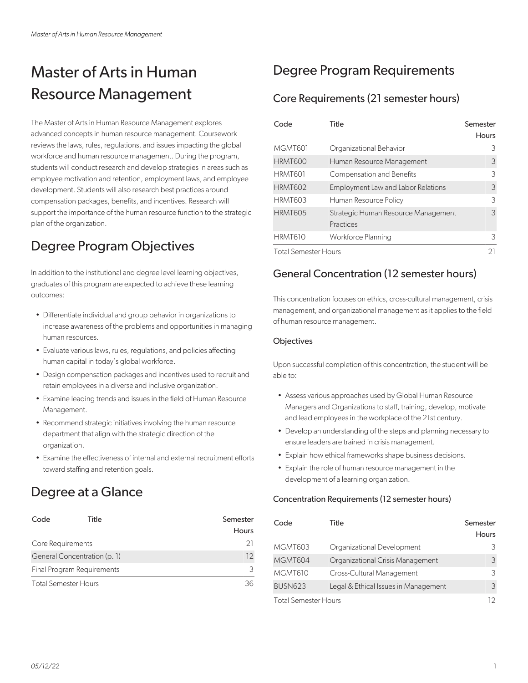# Master of Arts in Human Resource Management

The Master of Arts in Human Resource Management explores advanced concepts in human resource management. Coursework reviews the laws, rules, regulations, and issues impacting the global workforce and human resource management. During the program, students will conduct research and develop strategies in areas such as employee motivation and retention, employment laws, and employee development. Students will also research best practices around compensation packages, benefits, and incentives. Research will support the importance of the human resource function to the strategic plan of the organization.

## Degree Program Objectives

In addition to the institutional and degree level learning objectives, graduates of this program are expected to achieve these learning outcomes:

- Differentiate individual and group behavior in organizations to increase awareness of the problems and opportunities in managing human resources.
- Evaluate various laws, rules, regulations, and policies affecting human capital in today's global workforce.
- Design compensation packages and incentives used to recruit and retain employees in a diverse and inclusive organization.
- Examine leading trends and issues in the field of Human Resource Management.
- Recommend strategic initiatives involving the human resource department that align with the strategic direction of the organization.
- Examine the effectiveness of internal and external recruitment efforts toward staffing and retention goals.

## Degree at a Glance

| Code                       | Title                        | Semester |
|----------------------------|------------------------------|----------|
|                            |                              | Hours    |
| Core Requirements          | 21                           |          |
|                            | General Concentration (p. 1) | 12       |
| Final Program Requirements | 3                            |          |
| Total Semester Hours       | 36                           |          |

## Degree Program Requirements

### Core Requirements (21 semester hours)

| Code                        | Title                                            | Semester<br>Hours |
|-----------------------------|--------------------------------------------------|-------------------|
| MGMT601                     | Organizational Behavior                          | 3                 |
| <b>HRMT600</b>              | Human Resource Management                        | 3                 |
| HRMT601                     | <b>Compensation and Benefits</b>                 | 3                 |
| <b>HRMT602</b>              | <b>Employment Law and Labor Relations</b>        | 3                 |
| <b>HRMT603</b>              | Human Resource Policy                            | 3                 |
| <b>HRMT605</b>              | Strategic Human Resource Management<br>Practices | 3                 |
| HRMT610                     | Workforce Planning                               | 3                 |
| <b>Total Semester Hours</b> |                                                  | 21                |

### General Concentration (12 semester hours)

This concentration focuses on ethics, cross-cultural management, crisis management, and organizational management as it applies to the field of human resource management.

#### **Objectives**

Upon successful completion of this concentration, the student will be able to:

- Assess various approaches used by Global Human Resource Managers and Organizations to staff, training, develop, motivate and lead employees in the workplace of the 21st century.
- Develop an understanding of the steps and planning necessary to ensure leaders are trained in crisis management.
- Explain how ethical frameworks shape business decisions.
- Explain the role of human resource management in the development of a learning organization.

#### Concentration Requirements (12 semester hours)

| Code                        | Title                                | Semester<br>Hours |
|-----------------------------|--------------------------------------|-------------------|
| MGMT603                     | Organizational Development           | 3                 |
| MGMT604                     | Organizational Crisis Management     | 3                 |
| MGMT610                     | Cross-Cultural Management            | 3                 |
| <b>BUSN623</b>              | Legal & Ethical Issues in Management | 3                 |
| <b>Total Semester Hours</b> |                                      |                   |